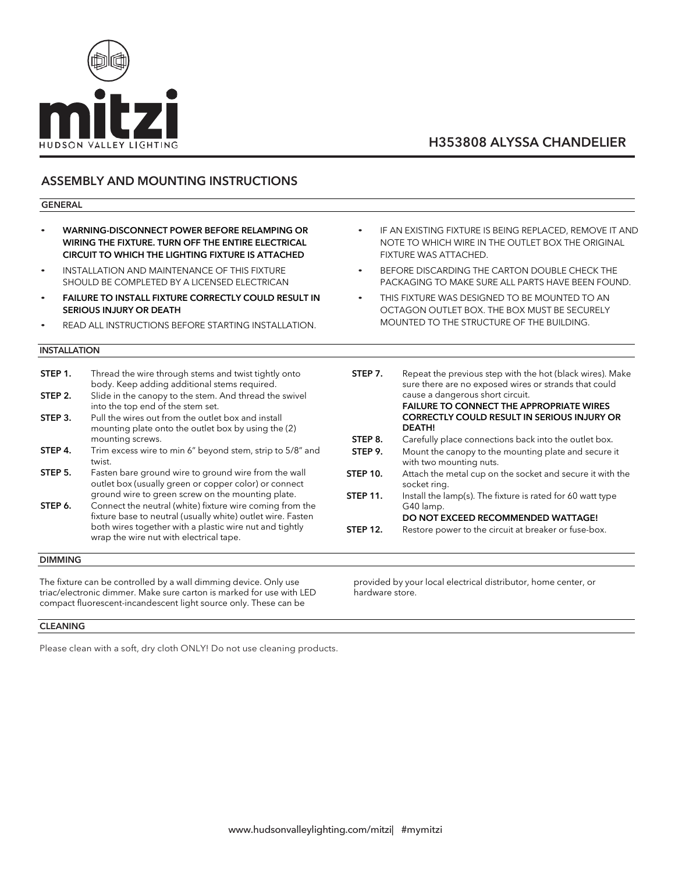

### ASSEMBLY AND MOUNTING INSTRUCTIONS

#### GENERAL

- WARNING-DISCONNECT POWER BEFORE RELAMPING OR WIRING THE FIXTURE. TURN OFF THE ENTIRE ELECTRICAL CIRCUIT TO WHICH THE LIGHTING FIXTURE IS ATTACHED
- INSTALLATION AND MAINTENANCE OF THIS FIXTURE SHOULD BE COMPLETED BY A LICENSED ELECTRICAN
- **FAILURE TO INSTALL FIXTURE CORRECTLY COULD RESULT IN** SERIOUS INJURY OR DEATH
- READ ALL INSTRUCTIONS BEFORE STARTING INSTALLATION.

### INSTALLATION

| STEP 1. | Thread the wire through stems and twist tightly onto<br>body. Keep adding additional stems required.                                                                                                                          |
|---------|-------------------------------------------------------------------------------------------------------------------------------------------------------------------------------------------------------------------------------|
| STEP 2. | Slide in the canopy to the stem. And thread the swivel<br>into the top end of the stem set.                                                                                                                                   |
| STEP 3. | Pull the wires out from the outlet box and install<br>mounting plate onto the outlet box by using the (2)<br>mounting screws.                                                                                                 |
| STEP 4. | Trim excess wire to min 6" beyond stem, strip to 5/8" and<br>twist.                                                                                                                                                           |
| STEP 5. | Fasten bare ground wire to ground wire from the wall<br>outlet box (usually green or copper color) or connect<br>ground wire to green screw on the mounting plate.                                                            |
| STEP 6. | Connect the neutral (white) fixture wire coming from the<br>fixture base to neutral (usually white) outlet wire. Fasten<br>both wires together with a plastic wire nut and tightly<br>wrap the wire nut with electrical tape. |

### DIMMING

The fixture can be controlled by a wall dimming device. Only use triac/electronic dimmer. Make sure carton is marked for use with LED compact fluorescent-incandescent light source only. These can be

IF AN EXISTING FIXTURE IS BEING REPLACED, REMOVE IT AND NOTE TO WHICH WIRE IN THE OUTLET BOX THE ORIGINAL FIXTURE WAS ATTACHED.

- BEFORE DISCARDING THE CARTON DOUBLE CHECK THE PACKAGING TO MAKE SURE ALL PARTS HAVE BEEN FOUND.
- THIS FIXTURE WAS DESIGNED TO BE MOUNTED TO AN OCTAGON OUTLET BOX. THE BOX MUST BE SECURELY MOUNTED TO THE STRUCTURE OF THE BUILDING.

| STEP 7.         | Repeat the previous step with the hot (black wires). Make<br>sure there are no exposed wires or strands that could<br>cause a dangerous short circuit.<br><b>FAILURE TO CONNECT THE APPROPRIATE WIRES</b> |
|-----------------|-----------------------------------------------------------------------------------------------------------------------------------------------------------------------------------------------------------|
|                 | <b>CORRECTLY COULD RESULT IN SERIOUS INJURY OR</b>                                                                                                                                                        |
|                 | <b>DEATH!</b>                                                                                                                                                                                             |
| STEP 8.         | Carefully place connections back into the outlet box.                                                                                                                                                     |
| STEP 9.         | Mount the canopy to the mounting plate and secure it<br>with two mounting nuts.                                                                                                                           |
| <b>STEP 10.</b> | Attach the metal cup on the socket and secure it with the<br>socket ring.                                                                                                                                 |
| <b>STEP 11.</b> | Install the lamp(s). The fixture is rated for 60 watt type<br>G40 lamp.                                                                                                                                   |
|                 | DO NOT EXCEED RECOMMENDED WATTAGE!                                                                                                                                                                        |
| <b>STEP 12.</b> | Restore power to the circuit at breaker or fuse-box.                                                                                                                                                      |

provided by your local electrical distributor, home center, or hardware store.

### CLEANING

Please clean with a soft, dry cloth ONLY! Do not use cleaning products.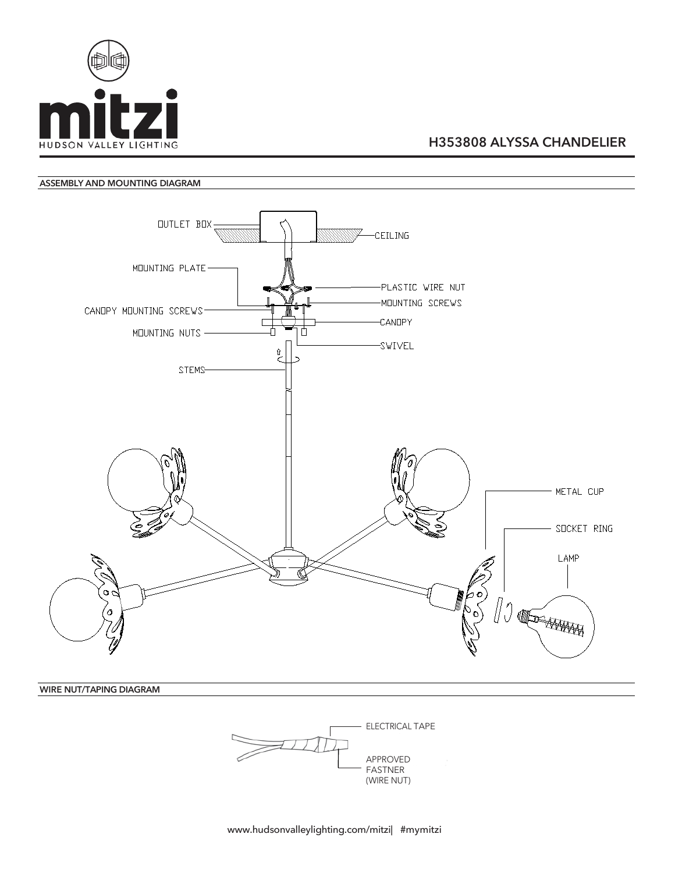

### ASSEMBLY AND MOUNTING DIAGRAM



WIRE NUT/TAPING DIAGRAM

ELECTRICAL TAPE APPROVED FASTNER (WIRE NUT)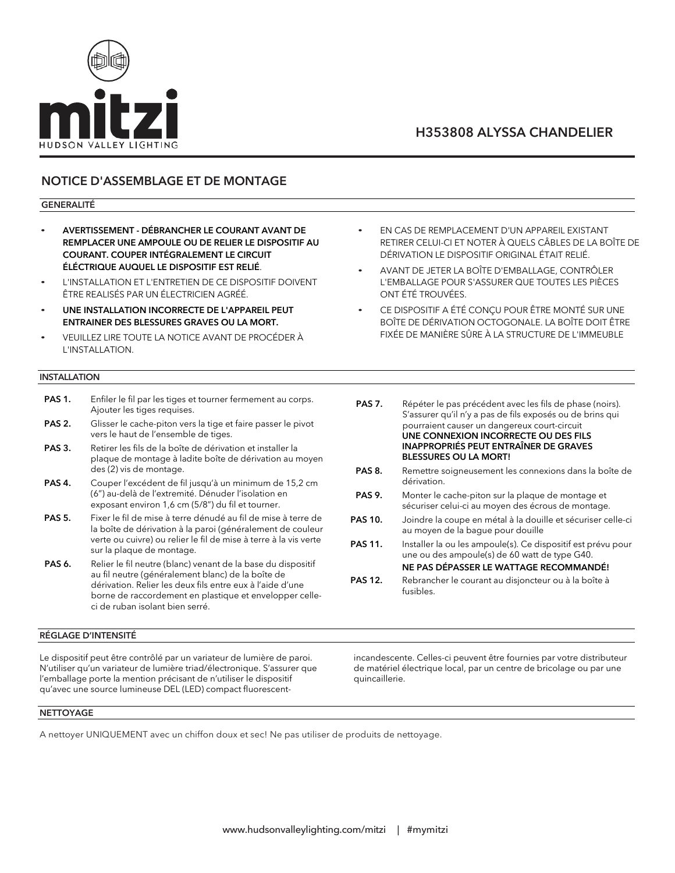

### NOTICE D'ASSEMBLAGE ET DE MONTAGE

### GENERALITÉ

- AVERTISSEMENT DÉBRANCHER LE COURANT AVANT DE REMPLACER UNE AMPOULE OU DE RELIER LE DISPOSITIF AU COURANT. COUPER INTÉGRALEMENT LE CIRCUIT ÉLÉCTRIQUE AUQUEL LE DISPOSITIF EST RELIÉ.
- L'INSTALLATION ET L'ENTRETIEN DE CE DISPOSITIF DOIVENT ÊTRE REALISÉS PAR UN ÉLECTRICIEN AGRÉÉ.
- UNE INSTALLATION INCORRECTE DE L'APPAREIL PEUT ENTRAINER DES BLESSURES GRAVES OU LA MORT.
- VEUILLEZ LIRE TOUTE LA NOTICE AVANT DE PROCÉDER À L'INSTALLATION.

### **INSTALLATION**

- PAS 1. Enfiler le fil par les tiges et tourner fermement au corps. Ajouter les tiges requises.
- PAS 2. Glisser le cache-piton vers la tige et faire passer le pivot vers le haut de l'ensemble de tiges.
- PAS 3. Retirer les fils de la boîte de dérivation et installer la plaque de montage à ladite boîte de dérivation au moyen des (2) vis de montage.
- PAS 4. Couper l'excédent de fil jusqu'à un minimum de 15,2 cm (6") au-delà de l'extremité. Dénuder l'isolation en exposant environ 1,6 cm (5/8") du fil et tourner.
- PAS 5. Fixer le fil de mise à terre dénudé au fil de mise à terre de la boîte de dérivation à la paroi (généralement de couleur verte ou cuivre) ou relier le fil de mise à terre à la vis verte sur la plaque de montage.
- PAS 6. Relier le fil neutre (blanc) venant de la base du dispositif au fil neutre (généralement blanc) de la boîte de dérivation. Relier les deux fils entre eux à l'aide d'une borne de raccordement en plastique et envelopper celleci de ruban isolant bien serré.

#### RÉGLAGE D'INTENSITÉ

Le dispositif peut être contrôlé par un variateur de lumière de paroi. N'utiliser qu'un variateur de lumière triad/électronique. S'assurer que l'emballage porte la mention précisant de n'utiliser le dispositif qu'avec une source lumineuse DEL (LED) compact fluorescent-

- EN CAS DE REMPLACEMENT D'UN APPAREIL EXISTANT RETIRER CELUI-CI ET NOTER À QUELS CÂBLES DE LA BOÎTE DE DÉRIVATION LE DISPOSITIF ORIGINAL ÉTAIT RELIÉ.
- AVANT DE JETER LA BOÎTE D'EMBALLAGE, CONTRÔLER L'EMBALLAGE POUR S'ASSURER QUE TOUTES LES PIÈCES ONT ÉTÉ TROUVÉES.
- CE DISPOSITIF A ÉTÉ CONÇU POUR ÊTRE MONTÉ SUR UNE BOÎTE DE DÉRIVATION OCTOGONALE. LA BOÎTE DOIT ÊTRE FIXÉE DE MANIÈRE SÛRE À LA STRUCTURE DE L'IMMEUBLE
- PAS 7. Répéter le pas précédent avec les fils de phase (noirs). S'assurer qu'il n'y a pas de fils exposés ou de brins qui pourraient causer un dangereux court-circuit UNE CONNEXION INCORRECTE OU DES FILS INAPPROPRIÉS PEUT ENTRAÎNER DE GRAVES BLESSURES OU LA MORT! PAS 8. Remettre soigneusement les connexions dans la boîte de dérivation. PAS 9. Monter le cache-piton sur la plaque de montage et sécuriser celui-ci au moyen des écrous de montage. PAS 10. Joindre la coupe en métal à la douille et sécuriser celle-ci au moyen de la bague pour douille PAS 11. Installer la ou les ampoule(s). Ce dispositif est prévu pour une ou des ampoule(s) de 60 watt de type G40. NE PAS DÉPASSER LE WATTAGE RECOMMANDÉ!
- PAS 12. Rebrancher le courant au disjoncteur ou à la boîte à fusibles.

incandescente. Celles-ci peuvent être fournies par votre distributeur de matériel électrique local, par un centre de bricolage ou par une quincaillerie.

#### **NETTOYAGE**

A nettoyer UNIQUEMENT avec un chiffon doux et sec! Ne pas utiliser de produits de nettoyage.